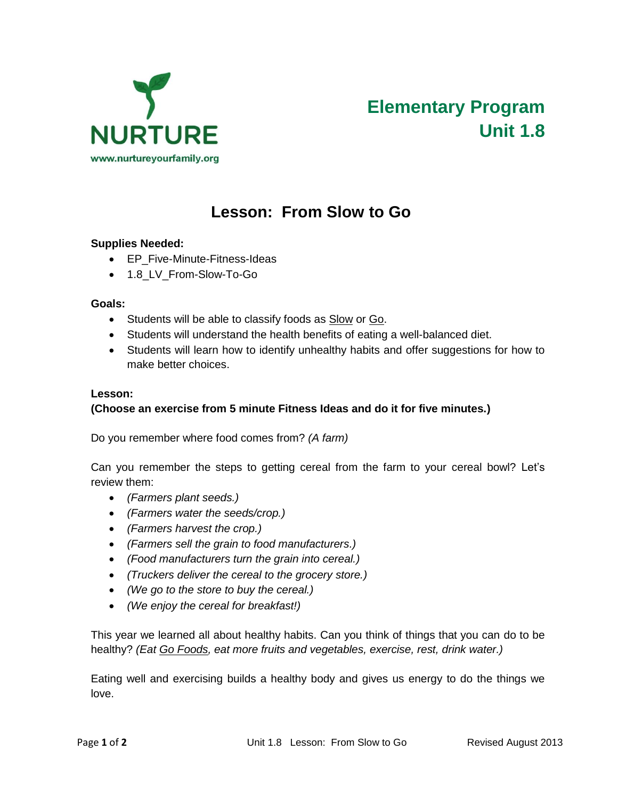

# **Lesson: From Slow to Go**

## **Supplies Needed:**

- EP\_Five-Minute-Fitness-Ideas
- 1.8\_LV\_From-Slow-To-Go

#### **Goals:**

- Students will be able to classify foods as Slow or Go.
- Students will understand the health benefits of eating a well-balanced diet.
- Students will learn how to identify unhealthy habits and offer suggestions for how to make better choices.

### **Lesson:**

# **(Choose an exercise from 5 minute Fitness Ideas and do it for five minutes.)**

Do you remember where food comes from? *(A farm)*

Can you remember the steps to getting cereal from the farm to your cereal bowl? Let's review them:

- *(Farmers plant seeds.)*
- *(Farmers water the seeds/crop.)*
- *(Farmers harvest the crop.)*
- *(Farmers sell the grain to food manufacturers.)*
- *(Food manufacturers turn the grain into cereal.)*
- *(Truckers deliver the cereal to the grocery store.)*
- *(We go to the store to buy the cereal.)*
- *(We enjoy the cereal for breakfast!)*

This year we learned all about healthy habits. Can you think of things that you can do to be healthy? *(Eat Go Foods, eat more fruits and vegetables, exercise, rest, drink water.)*

Eating well and exercising builds a healthy body and gives us energy to do the things we love.